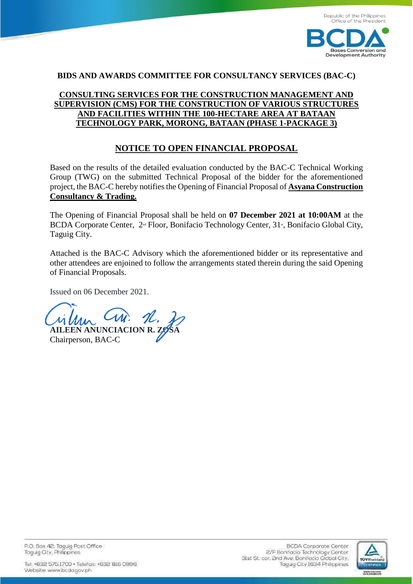

#### **BIDS AND AWARDS COMMITTEE FOR CONSULTANCY SERVICES (BAC-C)**

## **[CONSULTING SERVICES FOR THE CONSTRUCTION MANAGEMENT AND](https://bcda.gov.ph/bids/request-expression-interest-consulting-services-construction-management-and-supervision-site)  [SUPERVISION \(CMS\) FOR THE CONSTRUCTION OF VARIOUS STRUCTURES](https://bcda.gov.ph/bids/request-expression-interest-consulting-services-construction-management-and-supervision-site)  [AND FACILITIES WITHIN THE 100-HECTARE AREA AT](https://bcda.gov.ph/bids/request-expression-interest-consulting-services-construction-management-and-supervision-site) BATAAN [TECHNOLOGY PARK, MORONG, BATAAN](https://bcda.gov.ph/bids/request-expression-interest-consulting-services-construction-management-and-supervision-site) (PHASE 1-PACKAGE 3)**

### **NOTICE TO OPEN FINANCIAL PROPOSAL**

Based on the results of the detailed evaluation conducted by the BAC-C Technical Working Group (TWG) on the submitted Technical Proposal of the bidder for the aforementioned project, the BAC-C hereby notifies the Opening of Financial Proposal of **Asyana Construction Consultancy & Trading.**

The Opening of Financial Proposal shall be held on **07 December 2021 at 10:00AM** at the BCDA Corporate Center,  $2^{nd}$  Floor, Bonifacio Technology Center,  $31^{d}$ , Bonifacio Global City, Taguig City.

Attached is the BAC-C Advisory which the aforementioned bidder or its representative and other attendees are enjoined to follow the arrangements stated therein during the said Opening of Financial Proposals.

Issued on 06 December 2021.

**AILEEN ANUNCIACION R. Z** 

Chairperson, BAC-C

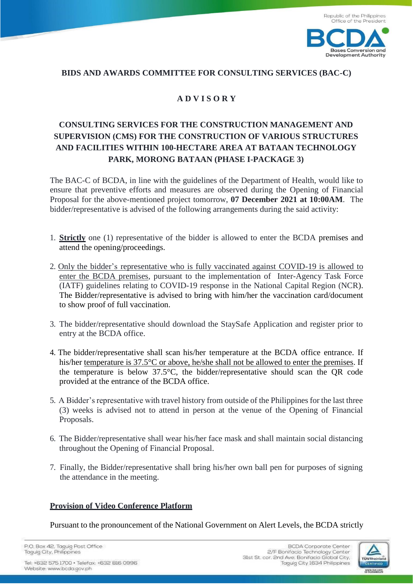

#### **BIDS AND AWARDS COMMITTEE FOR CONSULTING SERVICES (BAC-C)**

# **A D V I S O R Y**

# **CONSULTING SERVICES FOR THE CONSTRUCTION MANAGEMENT AND SUPERVISION (CMS) FOR THE CONSTRUCTION OF VARIOUS STRUCTURES AND FACILITIES WITHIN 100-HECTARE AREA AT BATAAN TECHNOLOGY PARK, MORONG BATAAN (PHASE I-PACKAGE 3)**

The BAC-C of BCDA, in line with the guidelines of the Department of Health, would like to ensure that preventive efforts and measures are observed during the Opening of Financial Proposal for the above-mentioned project tomorrow, **07 December 2021 at 10:00AM**. The bidder/representative is advised of the following arrangements during the said activity:

- 1. **Strictly** one (1) representative of the bidder is allowed to enter the BCDA premises and attend the opening/proceedings.
- 2. Only the bidder's representative who is fully vaccinated against COVID-19 is allowed to enter the BCDA premises, pursuant to the implementation of Inter-Agency Task Force (IATF) guidelines relating to COVID-19 response in the National Capital Region (NCR). The Bidder/representative is advised to bring with him/her the vaccination card/document to show proof of full vaccination.
- 3. The bidder/representative should download the StaySafe Application and register prior to entry at the BCDA office.
- 4. The bidder/representative shall scan his/her temperature at the BCDA office entrance. If his/her temperature is 37.5°C or above, he/she shall not be allowed to enter the premises. If the temperature is below 37.5°C, the bidder/representative should scan the QR code provided at the entrance of the BCDA office.
- 5. A Bidder's representative with travel history from outside of the Philippines for the last three (3) weeks is advised not to attend in person at the venue of the Opening of Financial Proposals.
- 6. The Bidder/representative shall wear his/her face mask and shall maintain social distancing throughout the Opening of Financial Proposal.
- 7. Finally, the Bidder/representative shall bring his/her own ball pen for purposes of signing the attendance in the meeting.

#### **Provision of Video Conference Platform**

Pursuant to the pronouncement of the National Government on Alert Levels, the BCDA strictly

P.O. Box 42, Taguig Post Office Taguig City, Philippines